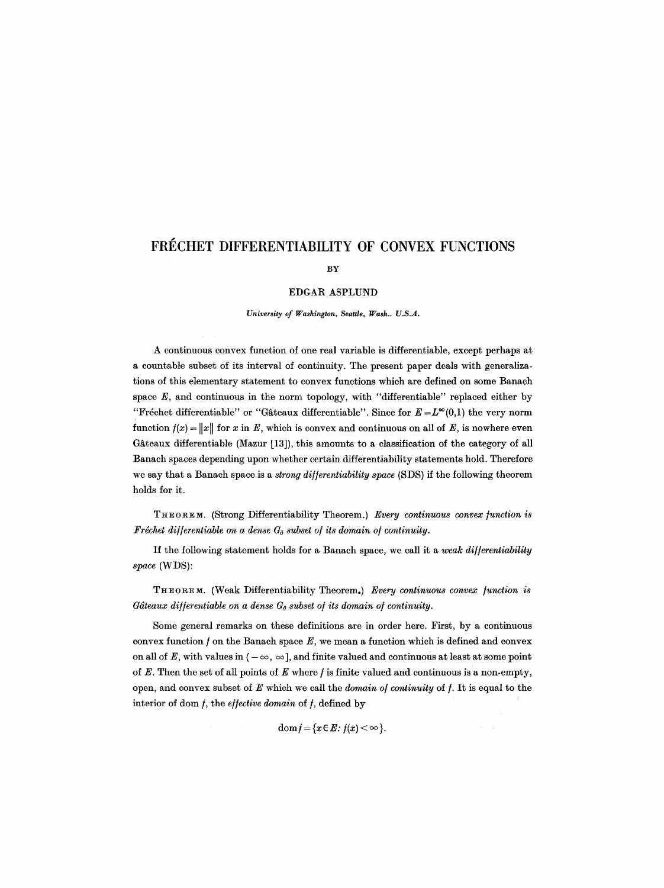# FRÉCHET DIFFERENTIABILITY OF CONVEX FUNCTIONS

# BY

## EDGAR ASPLUND

*University of Washington, Seattle, Wash.. U.S.A.* 

A continuous convex function of one real variable is differentiable, except perhaps at a countable subset of its interval of continuity. The present paper deals with generalizations of this elementary statement to convex functions which are defined on some Banach space  $E$ , and continuous in the norm topology, with "differentiable" replaced either by "Fréchet differentiable" or "Gâteaux differentiable". Since for  $E = L^{\infty}(0,1)$  the very norm function  $f(x) = ||x||$  for x in E, which is convex and continuous on all of E, is nowhere even Gâteaux differentiable (Mazur  $[13]$ ), this amounts to a classification of the category of all Banach spaces depending upon whether certain differentiability statements hold. Therefore we say that a Banach space is a *strong di//erentiability space* (SDS) if the following theorem holds for it.

THEOREM. (Strong Differentiability Theorem.) *Every continuous convex function is Fréchet differentiable on a dense*  $G_{\delta}$  *subset of its domain of continuity.* 

If the following statement holds for a Banach space, we call it a *weak di//erentiability space* (WDS):

THEOREM. (Weak Differentiability Theorem.) Every continuous convex function is *Gâteaux differentiable on a dense*  $G_{\delta}$  *subset of its domain of continuity.* 

Some general remarks on these definitions are in order here. First, by a continuous convex function  $f$  on the Banach space  $E$ , we mean a function which is defined and convex on all of E, with values in  $(-\infty, \infty]$ , and finite valued and continuous at least at some point of  $E$ . Then the set of all points of  $E$  where  $f$  is finite valued and continuous is a non-empty, open, and convex subset of E which we call the *domain of continuity* of f. It is equal to the interior of dom  $f$ , the *effective domain* of  $f$ , defined by

dom  $f = \{x \in E : f(x) < \infty\}.$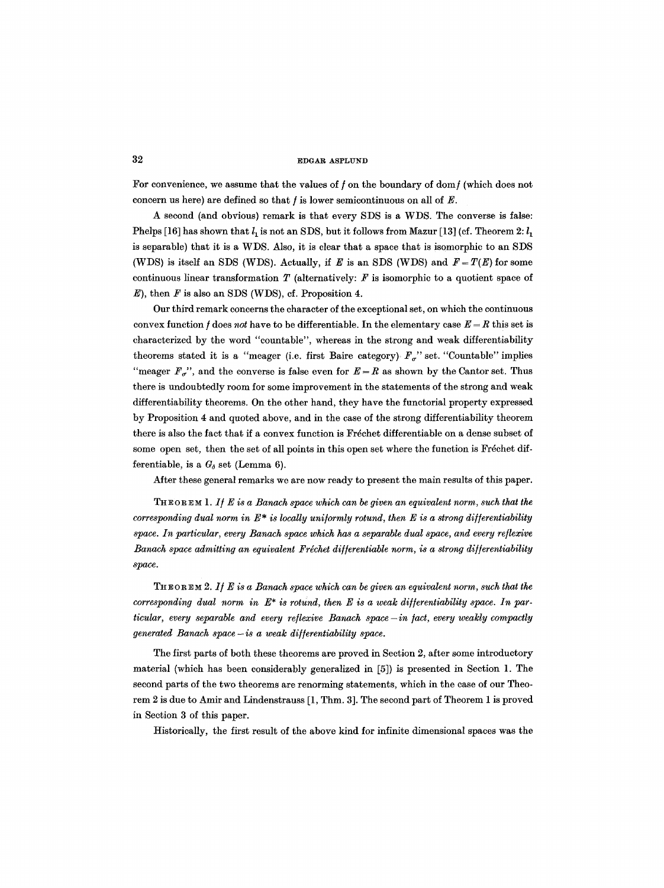For convenience, we assume that the values of  $f$  on the boundary of dom $f$  (which does not concern us here) are defined so that  $f$  is lower semicontinuous on all of  $E$ .

A second (and obvious) remark is that every SDS is a WDS. The converse is false: Phelps [16] has shown that  $l_1$  is not an SDS, but it follows from Mazur [13] (cf. Theorem 2:  $l_1$ is separable) that it is a WDS. Also, it is clear that a space that is isomorphic to an SDS (WDS) is itself an SDS (WDS). Actually, if E is an SDS (WDS) and  $F = T(E)$  for some continuous linear transformation  $T$  (alternatively:  $F$  is isomorphic to a quotient space of  $E$ ), then  $F$  is also an SDS (WDS), cf. Proposition 4.

Our third remark concerns the character of the exceptional set, on which the continuous convex function f does not have to be differentiable. In the elementary case  $E = R$  this set is characterized by the word "countable", whereas in the strong and weak differentiability theorems stated it is a "meager (i.e. first Baire category):  $F_{\sigma}$ " set. "Countable" implies "meager  $F_{\sigma}$ ", and the converse is false even for  $E=R$  as shown by the Cantor set. Thus there is undoubtedly room for some improvement in the statements of the strong and weak differentiability theorems. On the other hand, they have the functorial property expressed by Proposition 4 and quoted above, and in the case of the strong differentiability theorem there is also the fact that if a convex function is Fréchet differentiable on a dense subset of some open set, then the set of all points in this open set where the function is Fréchet differentiable, is a  $G_{\delta}$  set (Lemma 6).

After these general remarks we are now ready to present the main results of this paper.

THEOREM 1. If E is a Banach space which can be given an equivalent norm, such that the *corresponding dual norm in*  $E^*$  *is locally uniformly rotund, then E is a strong differentiability space. In particular, every Banach space which has a separable dual space, and every reflexive Banach space admitting an equivalent Fréchet differentiable norm, is a strong differentiability space.* 

THEOREM 2. If E is a Banach space which can be given an equivalent norm, such that the *corresponding dual norm in*  $E^*$  *is rotund, then* E *is a weak differentiability space. In particular, every separable and every reflexive Banach space -in fact, every weakly compactly generated Banach space- is a weak di//erentiability space.* 

The first parts of both these theorems are proved in Section 2, after some introductory material (which has been considerably generalized in [5]) is presented in Section 1. The second parts of the two theorems are renorming statements, which in the case of our Theorem 2 is due to Amir and Lindenstrauss [1, Thm. 3]. The second part of Theorem 1 is proved in Section 3 of this paper.

Historically, the first result of the above kind for infinite dimensional spaces was the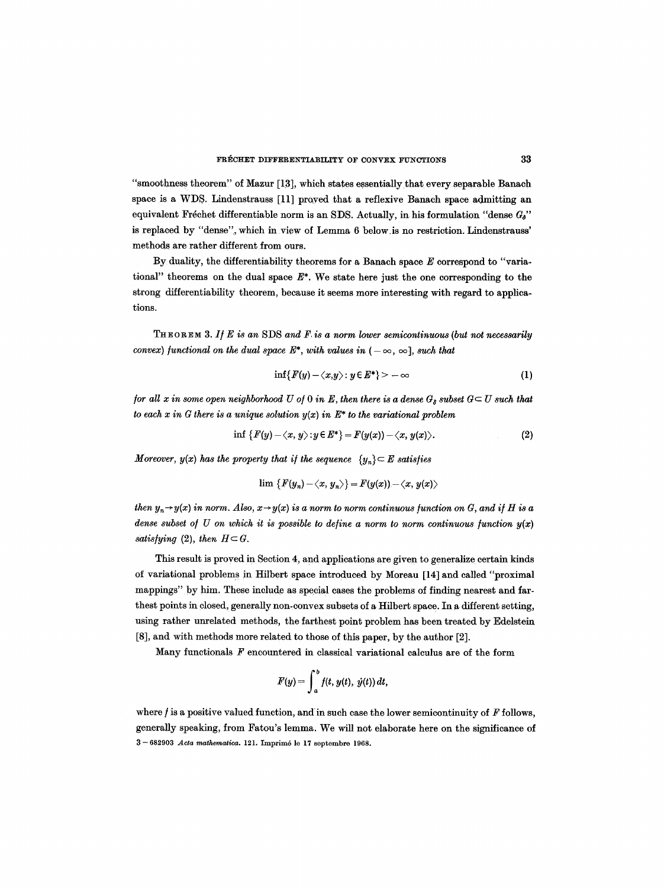"smoothness theorem" of Mazur [13], which states essentially that every separable Banach space is a WDS. Lindenstrauss [11] prayed that a reflexive Banach space admitting an equivalent Fréchet differentiable norm is an SDS. Actually, in his formulation "dense  $G_0$ " is replaced by "dense", which in view of Lemma 6 below.is no restriction. Lindenstrauss' methods are rather different from ours.

By duality, the differentiability theorems for a Banach space  $E$  correspond to "variational" theorems on the dual space  $E^*$ . We state here just the one corresponding to the strong differentiability theorem, because it seems more interesting with regard to applications.

THEOREM 3. *I] E is an* SDS *and F. is a norm lower semicontinuons (but not necessarily convex)* functional on the dual space  $E^*$ , with values in  $(-\infty, \infty]$ , such that

$$
\inf\{F(y)-\langle x,y\rangle\colon y\in E^*\}\rangle-\infty\tag{1}
$$

*for all x in some open neighborhood U of 0 in E, then there is a dense*  $G_{\kappa}$  subset  $G \subset U$  such that *to each x in G there is a unique solution y(x) in E\* to the variational problem* 

$$
\inf \{F(y)-\langle x,y\rangle : y\in E^*\}=F(y(x))-\langle x,y(x)\rangle. \tag{2}
$$

*Moreover, y(x) has the property that if the sequence*  $\{y_n\} \subset E$  satisfies

$$
\lim \{ F(y_n) - \langle x, y_n \rangle \} = F(y(x)) - \langle x, y(x) \rangle
$$

*then*  $y_n \rightarrow y(x)$  in norm. Also,  $x \rightarrow y(x)$  is a norm to norm continuous function on G, and if H is a *dense subset of U on which it is possible to define a norm to norm continuous function*  $y(x)$ *satisfying* (2), then  $H \subset G$ .

This result is proved in Section 4, and applications are given to generalize certain kinds of variational problems in Hilbert space introduced by Moreau [14] and called "proximal mappings" by him. These include as special cases the problems of finding nearest and farthest points in closed, generally non-convex subsets of a Hilbert space. In a different setting, using rather unrelated methods, the farthest point problem has been treated by Edelstein [8], and with methods more related to those of this paper, by the author [2].

Many functionals  $F$  encountered in classical variational calculus are of the form

$$
F(y) = \int_a^b f(t, y(t), \dot{y}(t)) dt,
$$

where  $f$  is a positive valued function, and in such case the lower semicontinuity of  $F$  follows, generally speaking, from Fatou's lemma. We will not elaborate here on the significance of 3- 682903 *Acta mathematica.* 121. Imprim4 le 17 septembre 1968.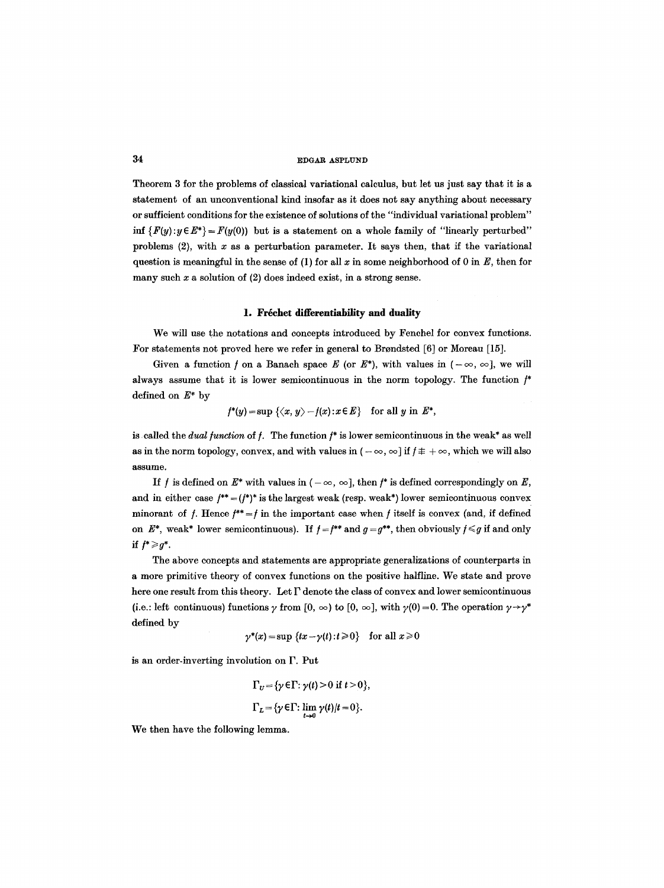Theorem 3 for the problems of classical variational calculus, but let us just say that it is a statement of an unconventional kind insofar as it does not say anything about necessary or sufficient conditions for the existence of solutions of the "individual variational problem" inf  $\{F(y):y\in E^*\} = F(y(0))$  but is a statement on a whole family of "linearly perturbed" problems  $(2)$ , with x as a perturbation parameter. It says then, that if the variational question is meaningful in the sense of (1) for all x in some neighborhood of 0 in  $E$ , then for many such  $x$  a solution of  $(2)$  does indeed exist, in a strong sense.

#### 1. Fréchet differentiability and duality

We will use the notations and concepts introduced by Fenchel for convex functions. For statements not proved here we refer in general to Brondsted [6] or Moreau [15].

Given a function f on a Banach space E (or  $E^*$ ), with values in  $(-\infty, \infty]$ , we will always assume that it is lower semicontinuous in the norm topology. The function  $f^*$ defined on  $E^*$  by

$$
f^*(y) = \sup \{\langle x, y \rangle - f(x) : x \in E\} \quad \text{for all } y \text{ in } E^*,
$$

is called the *dual function* of *f*. The function  $f^*$  is lower semicontinuous in the weak\* as well as in the norm topology, convex, and with values in  $(-\infty, \infty]$  if  $f \pm +\infty$ , which we will also assume.

If f is defined on  $E^*$  with values in  $(-\infty, \infty]$ , then f<sup>\*</sup> is defined correspondingly on E, and in either case  $f^{**} = (f^*)^*$  is the largest weak (resp. weak\*) lower semicontinuous convex minorant of f. Hence  $f^* = f$  in the important case when f itself is convex (and, if defined on  $E^*$ , weak\* lower semicontinuous). If  $f = f^{**}$  and  $g = g^{**}$ , then obviously  $f \leq g$  if and only if  $f^* \geqslant g^*$ .

The above concepts and statements are appropriate generalizations of counterparts in a more primitive theory of convex functions on the positive hairline. We state and prove here one result from this theory. Let  $\Gamma$  denote the class of convex and lower semicontinuous (i.e.: left continuous) functions  $\gamma$  from [0,  $\infty$ ) to [0,  $\infty$ ], with  $\gamma(0) = 0$ . The operation  $\gamma \rightarrow \gamma^*$ defined by

$$
\gamma^*(x) = \sup \{tx - \gamma(t) : t \ge 0\}
$$
 for all  $x \ge 0$ 

is an order-inverting involution on F. Put

$$
\Gamma_U = \{ \gamma \in \Gamma : \gamma(t) > 0 \text{ if } t > 0 \},
$$
  

$$
\Gamma_L = \{ \gamma \in \Gamma : \lim_{t \to 0} \gamma(t) / t = 0 \}.
$$

We then have the following lemma.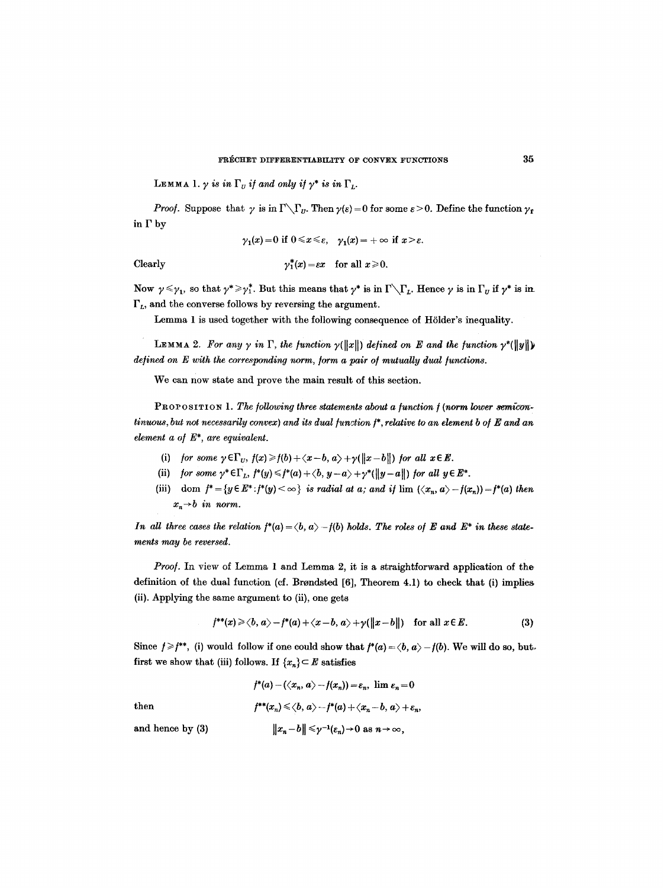LEMMA 1.  $\gamma$  is in  $\Gamma_U$  if and only if  $\gamma^*$  is in  $\Gamma_L$ .

*Proof.* Suppose that  $\gamma$  is in  $\Gamma \setminus \Gamma_u$ . Then  $\gamma(\varepsilon) = 0$  for some  $\varepsilon > 0$ . Define the function  $\gamma_r$ in  $\Gamma$  by

$$
\gamma_1(x) = 0 \text{ if } 0 \leq x \leq \varepsilon, \quad \gamma_1(x) = +\infty \text{ if } x > \varepsilon.
$$

$$
\gamma_1^*(x) = \varepsilon x \quad \text{for all } x \geq 0.
$$

Now  $\gamma \le \gamma_1$ , so that  $\gamma^* \ge \gamma_1^*$ . But this means that  $\gamma^*$  is in  $\Gamma \setminus \Gamma_L$ . Hence  $\gamma$  is in  $\Gamma_U$  if  $\gamma^*$  is in  $\Gamma_L$ , and the converse follows by reversing the argument.

Lemma 1 is used together with the following consequence of H61der's inequality.

LEMMA 2. For any  $\gamma$  in  $\Gamma$ , the function  $\gamma(\Vert x \Vert)$  defined on E and the function  $\gamma^*(\Vert y \Vert)$ *defined on E with the corresponding norm, form a pair of mutually dual functions.* 

We can now state and prove the main result of this section.

PROPOSITION 1. The following three statements about a function f (norm lower semicon*tinuous, but not necessarily convex) and its dual function f\*, relative to an element b of E and an element a o/E\*, are equivalent.* 

- (i) *for some*  $\gamma \in \Gamma_U$ ,  $f(x) \geq f(b) + \langle x-b, a \rangle + \gamma(\Vert x-b \Vert)$  *for all*  $x \in E$ .
- (ii) *for some*  $\gamma^* \in \Gamma_L$ ,  $f^*(y) \leq f^*(a) + \langle b, y a \rangle + \gamma^*({\|y a\|})$  *for all*  $y \in E^*$ .
- (iii) dom  $f^* = \{y \in E^* : f^*(y) < \infty\}$  *is radial at a; and if lim*  $\langle x_n, a \rangle f(x_n) = f^*(a)$  then  $x_n \rightarrow b$  *in norm.*

*In all three cases the relation*  $f^*(a) = \langle b, a \rangle - f(b)$  holds. The roles of E and E<sup>\*</sup> in these state*ments may be reversed.* 

*Proo/.* In view of Lemma 1 and Lemma 2, it is a straightforward application of the definition of the dual function (cf. Brondsted [6], Theorem 4.1) to check that (i) implies (ii). Applying the same argument to (ii), one gets

$$
f^{**}(x) \ge \langle b, a \rangle - f^{*}(a) + \langle x-b, a \rangle + \gamma(\Vert x-b \Vert) \quad \text{for all } x \in E. \tag{3}
$$

Since  $f \geq f^{**}$ , (i) would follow if one could show that  $f^*(a) = \langle b, a \rangle - f(b)$ . We will do so, butfirst we show that (iii) follows. If  $\{x_n\} \subset E$  satisfies

$$
f^*(a) - (\langle x_n, a \rangle - f(x_n)) = \varepsilon_n, \text{ lim } \varepsilon_n = 0
$$

 $Clearly$ 

then 
$$
f^{**}(x_n) \le \langle b, a \rangle - f^{*}(a) + \langle x_n - b, a \rangle + \varepsilon_n
$$

and hence by (3)  $||x_n-b|| \leq \gamma^{-1}(\varepsilon_n) \to 0$  as  $n \to \infty$ ,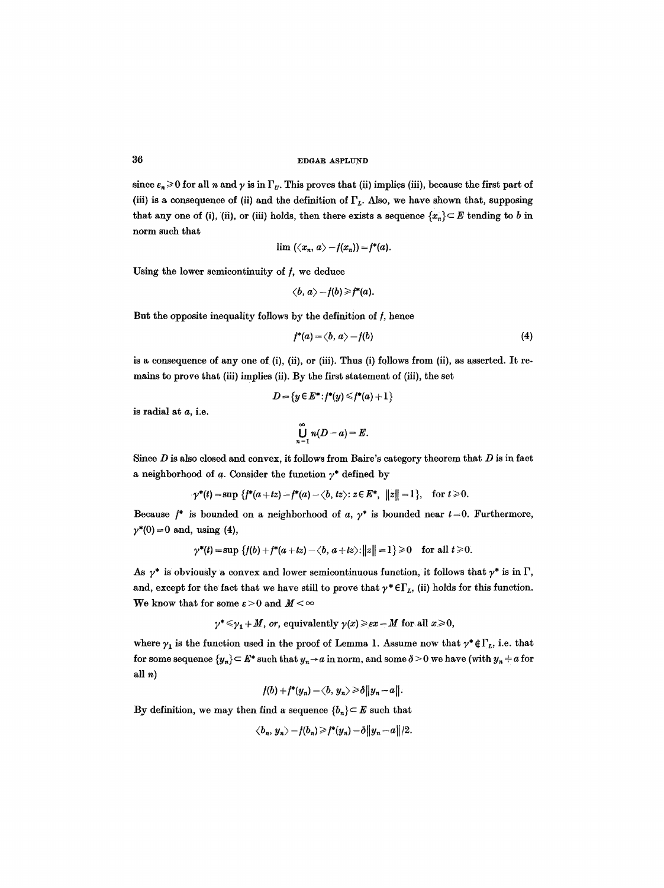since  $\varepsilon_n \geq 0$  for all n and  $\gamma$  is in  $\Gamma_U$ . This proves that (ii) implies (iii), because the first part of (iii) is a consequence of (ii) and the definition of  $\Gamma_L$ . Also, we have shown that, supposing that any one of (i), (ii), or (iii) holds, then there exists a sequence  $\{x_n\} \subset E$  tending to b in norm such that

$$
\lim (\langle x_n, a \rangle - f(x_n)) = f^*(a).
$$

Using the lower semicontinuity of  $f$ , we deduce

$$
\langle b,a\rangle - f(b) \geq f^*(a).
$$

But the opposite inequality follows by the definition of  $f$ , hence

$$
f^*(a) = \langle b, a \rangle - f(b) \tag{4}
$$

is a consequence of any one of (i), (ii), or (iii). Thus (i) follows from (ii), as asserted. It remains to prove that (iii) implies (ii). By the first statement of (iii), the set

$$
D = \{y \in E^* : f^*(y) \leq f^*(a) + 1\}
$$

is radial at a, i.e.

$$
\bigcup_{n=1}^{\infty} n(D-a)=E.
$$

Since  $D$  is also closed and convex, it follows from Baire's category theorem that  $D$  is in fact a neighborhood of a. Consider the function  $\gamma^*$  defined by

$$
\gamma^*(t) = \sup \{ f^*(a+tz) - f^*(a) - \langle b, tz \rangle : z \in E^*, \ ||z|| = 1 \}, \text{ for } t \ge 0.
$$

Because  $f^*$  is bounded on a neighborhood of a,  $\gamma^*$  is bounded near  $t=0$ . Furthermore,  $\gamma^*(0) = 0$  and, using (4),

$$
\gamma^*(t) = \sup \{f(b) + f^*(a + tz) - \langle b, a + tz \rangle : ||z|| = 1\} \ge 0 \quad \text{for all } t \ge 0.
$$

As  $\gamma^*$  is obviously a convex and lower semicontinuous function, it follows that  $\gamma^*$  is in  $\Gamma$ , and, except for the fact that we have still to prove that  $\gamma^* \in \Gamma_L$ , (ii) holds for this function. We know that for some  $\varepsilon > 0$  and  $M < \infty$ 

$$
\gamma^* \leq \gamma_1 + M
$$
, or, equivalently  $\gamma(x) \geq \varepsilon x - M$  for all  $x \geq 0$ ,

where  $\gamma_1$  is the function used in the proof of Lemma 1. Assume now that  $\gamma^* \notin \Gamma_L$ , i.e. that for some sequence  $\{y_n\} \subset E^*$  such that  $y_n \to a$  in norm, and some  $\delta > 0$  we have (with  $y_n \neq a$  for all n)

$$
f(b)+f^*(y_n)-\langle b, y_n\rangle \geq \delta ||y_n-a||
$$

By definition, we may then find a sequence  ${b_n} \subset E$  such that

$$
\langle b_n, y_n \rangle - f(b_n) \geq f^*(y_n) - \delta ||y_n - a||/2.
$$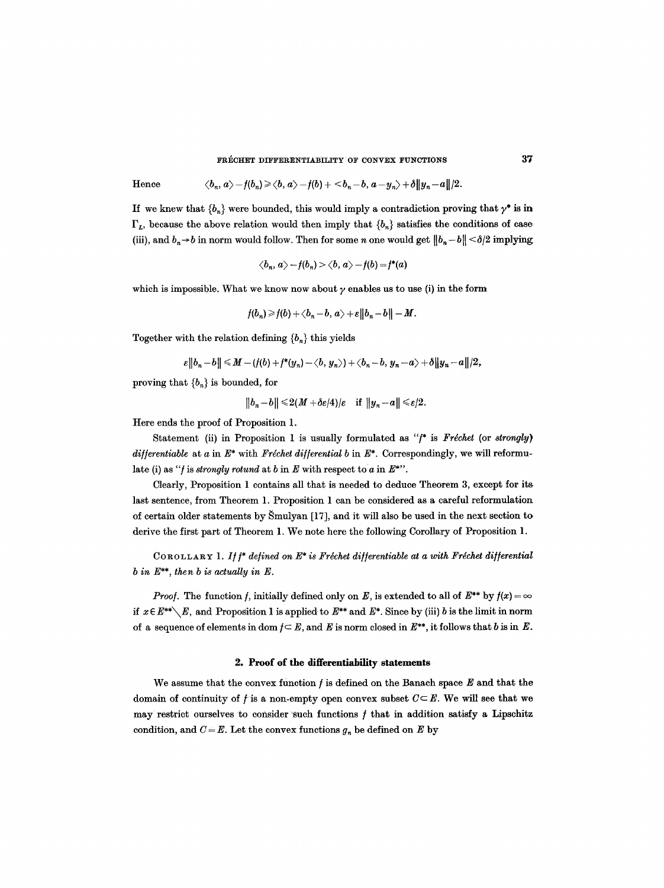# FRECHET DIFFERENTIABILITY OF CONVEX FUNCTIONS **37**

Hence 
$$
\langle b_n, a \rangle - f(b_n) \ge \langle b, a \rangle - f(b) + \langle b_n - b, a - y_n \rangle + \delta ||y_n - a||/2.
$$

If we knew that  ${b_n}$  were bounded, this would imply a contradiction proving that  $\gamma^*$  is in  $\Gamma_L$ , because the above relation would then imply that  $\{b_n\}$  satisfies the conditions of case (iii), and  $b_n \rightarrow b$  in norm would follow. Then for some n one would get  $||b_n - b|| < \delta/2$  implying

$$
\langle b_n, a \rangle - f(b_n) > \langle b, a \rangle - f(b) = f^*(a)
$$

which is impossible. What we know now about  $\gamma$  enables us to use (i) in the form

$$
f(b_n) \geq f(b) + \langle b_n - b, a \rangle + \varepsilon ||b_n - b|| - M.
$$

Together with the relation defining  ${b_n}$  this yields

$$
\varepsilon||b_n-b||\leqslant M-(f(b)+f^*(y_n)-\langle b,y_n\rangle)+\langle b_n-b,y_n-a\rangle+\delta||y_n-a||/2,
$$

proving that  ${b_n}$  is bounded, for

$$
||b_n-b|| \leq 2(M+\delta \varepsilon/4)/\varepsilon \quad \text{if } ||y_n-a|| \leq \varepsilon/2.
$$

Here ends the proof of Proposition 1.

Statement (ii) in Proposition 1 is usually formulated as "f\* is Fréchet (or *strongly*) *differentiable* at a in  $E^*$  with *Fréchet differential b* in  $E^*$ . Correspondingly, we will reformulate (i) as "*f* is *strongly rotund* at *b* in  $E$  with respect to *a* in  $E^*$ ".

Clearly, Proposition 1 contains all that is needed to deduce Theorem 3, except for its last sentence, from Theorem 1. Proposition 1 can be considered as a careful reformulation of certain older statements by  $\text{Smulyan}$  [17], and it will also be used in the next section to derive the first part of Theorem 1. We note here the following Corollary of Proposition 1.

COROLLARY 1. If  $f^*$  defined on  $E^*$  is Fréchet differentiable at a with Fréchet differential *b in* E\*\*, *then b is actually in E.* 

*Proof.* The function f, initially defined only on E, is extended to all of  $E^{**}$  by  $f(x) = \infty$ if  $x \in E^{**} \setminus E$ , and Proposition 1 is applied to  $E^{**}$  and  $E^*$ . Since by (iii) b is the limit in norm of a sequence of elements in dom  $f \subset E$ , and E is norm closed in  $E^{**}$ , it follows that b is in E.

#### **2. Proof of the differentlability statements**

We assume that the convex function  $f$  is defined on the Banach space  $E$  and that the domain of continuity of  $f$  is a non-empty open convex subset  $C \subseteq E$ . We will see that we may restrict ourselves to consider such functions  $f$  that in addition satisfy a Lipschitz condition, and  $C = E$ . Let the convex functions  $g_n$  be defined on E by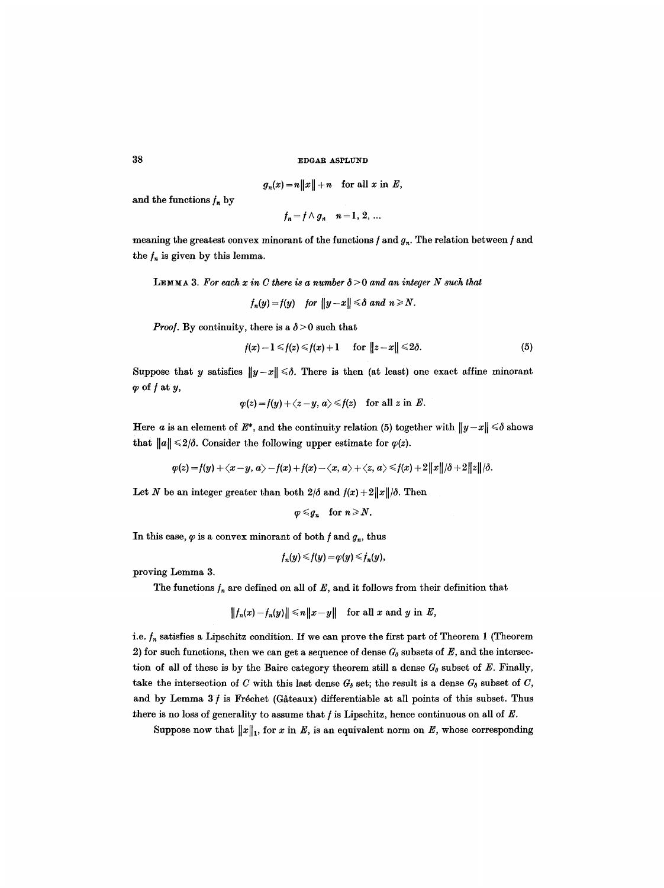$$
g_n(x) = n||x|| + n \quad \text{for all } x \text{ in } E,
$$

and the functions  $f_n$  by

$$
f_n = f \wedge g_n \quad n = 1, 2, \ldots
$$

meaning the greatest convex minorant of the functions  $f$  and  $g_n$ . The relation between  $f$  and the  $f_n$  is given by this lemma.

**LEMMA 3.** For each x in C there is a number  $\delta > 0$  and an integer N such that

$$
f_n(y)=f(y) \quad \text{for } \|y-x\| \leq \delta \text{ and } n \geq N.
$$

*Proof.* By continuity, there is a  $\delta$  > 0 such that

$$
f(x)-1\leq f(z)\leq f(x)+1 \quad \text{for } \|z-x\|\leq 2\delta. \tag{5}
$$

Suppose that y satisfies  $||y-x|| \le \delta$ . There is then (at least) one exact affine minorant  $\varphi$  of  $f$  at  $y$ ,

$$
\varphi(z) = f(y) + \langle z - y, a \rangle \leq f(z) \quad \text{for all } z \text{ in } E.
$$

Here a is an element of  $E^*$ , and the continuity relation (5) together with  $||y-x|| \le \delta$  shows that  $||a|| \leq 2/\delta$ . Consider the following upper estimate for  $\varphi(z)$ .

$$
\varphi(z) = f(y) + \langle x-y, a \rangle - f(x) + f(x) - \langle x, a \rangle + \langle z, a \rangle \leq f(x) + 2||x||/\delta + 2||z||/\delta.
$$

Let N be an integer greater than both  $2/\delta$  and  $f(x)+2||x||/\delta$ . Then

$$
\varphi\leqslant g_n \quad \text{for } n\geqslant N.
$$

In this case,  $\varphi$  is a convex minorant of both  $f$  and  $g_n$ , thus

$$
f_n(y) \leq f(y) = \varphi(y) \leq f_n(y),
$$

proving Lemma 3.

The functions  $f_n$  are defined on all of E, and it follows from their definition that

$$
||f_n(x)-f_n(y)|| \le n||x-y|| \text{ for all } x \text{ and } y \text{ in } E,
$$

i.e.  $f_n$  satisfies a Lipschitz condition. If we can prove the first part of Theorem 1 (Theorem 2) for such functions, then we can get a sequence of dense  $G_0$  subsets of  $E$ , and the intersection of all of these is by the Baire category theorem still a dense  $G_{\delta}$  subset of E. Finally, take the intersection of C with this last dense  $G_{\delta}$  set; the result is a dense  $G_{\delta}$  subset of C, and by Lemma  $3f$  is Fréchet (Gâteaux) differentiable at all points of this subset. Thus there is no loss of generality to assume that  $f$  is Lipschitz, hence continuous on all of  $E$ .

Suppose now that  $||x||_1$ , for x in E, is an equivalent norm on E, whose corresponding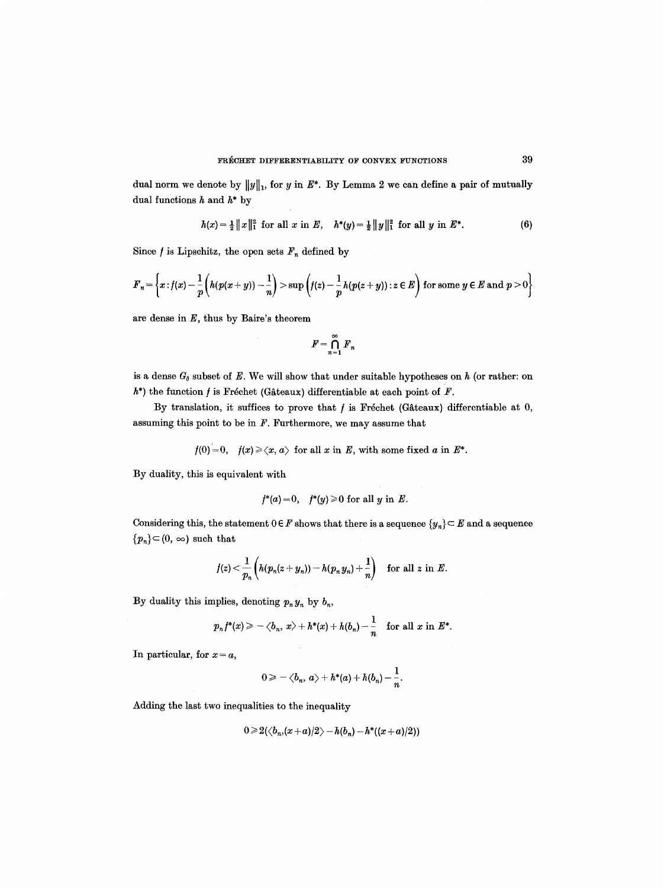dual norm we denote by  $||y||_1$ , for y in  $E^*$ . By Lemma 2 we can define a pair of mutually dual functions  $h$  and  $h^*$  by

$$
h(x) = \frac{1}{2} ||x||_1^2 \text{ for all } x \text{ in } E, \quad h^*(y) = \frac{1}{2} ||y||_1^2 \text{ for all } y \text{ in } E^*.
$$
 (6)

Since  $f$  is Lipschitz, the open sets  $F_n$  defined by

$$
F_n = \left\{x : f(x) - \frac{1}{p}\left(h(p(x+y)) - \frac{1}{n}\right) > \sup\left(f(z) - \frac{1}{p}h(p(z+y)) : z \in E\right) \text{ for some } y \in E \text{ and } p > 0\right\}
$$

are dense in  $E$ , thus by Baire's theorem

$$
F=\bigcap_{n=1}^\infty F_n
$$

is a dense  $G_{\delta}$  subset of E. We will show that under suitable hypotheses on  $h$  (or rather: on  $h^*$ ) the function  $f$  is Fréchet (Gâteaux) differentiable at each point of  $F$ .

By translation, it suffices to prove that  $f$  is Fréchet (Gâteaux) differentiable at  $0$ , assuming this point to be in  $F$ . Furthermore, we may assume that

$$
f(0)=0
$$
,  $f(x) \geq \langle x, a \rangle$  for all x in E, with some fixed a in E<sup>\*</sup>.

By duality, this is equivalent with

$$
f^*(a) = 0, \quad f^*(y) \geq 0 \text{ for all } y \text{ in } E.
$$

Considering this, the statement  $0 \in F$  shows that there is a sequence  $\{y_n\} \subseteq E$  and a sequence  ${p_n} \subset (0, \infty)$  such that

$$
f(z) < \frac{1}{p_n}\left(h(p_n(z+y_n)) - h(p_n y_n) + \frac{1}{n}\right) \quad \text{for all } z \text{ in } E.
$$

By duality this implies, denoting  $p_n y_n$  by  $b_n$ ,

$$
p_n f^*(x) \geq -\langle b_n, x \rangle + h^*(x) + h(b_n) - \frac{1}{n}
$$
 for all x in  $E^*$ .

In particular, for  $x = a$ ,

$$
0\geqslant -\langle b_n, a\rangle + h^*(a) + h(b_n) - \frac{1}{n}.
$$

Adding the last two inequalities to the inequality

$$
0\geqslant 2(\langle b_n(x+a)/2\rangle-h(b_n)-h^*((x+a)/2))
$$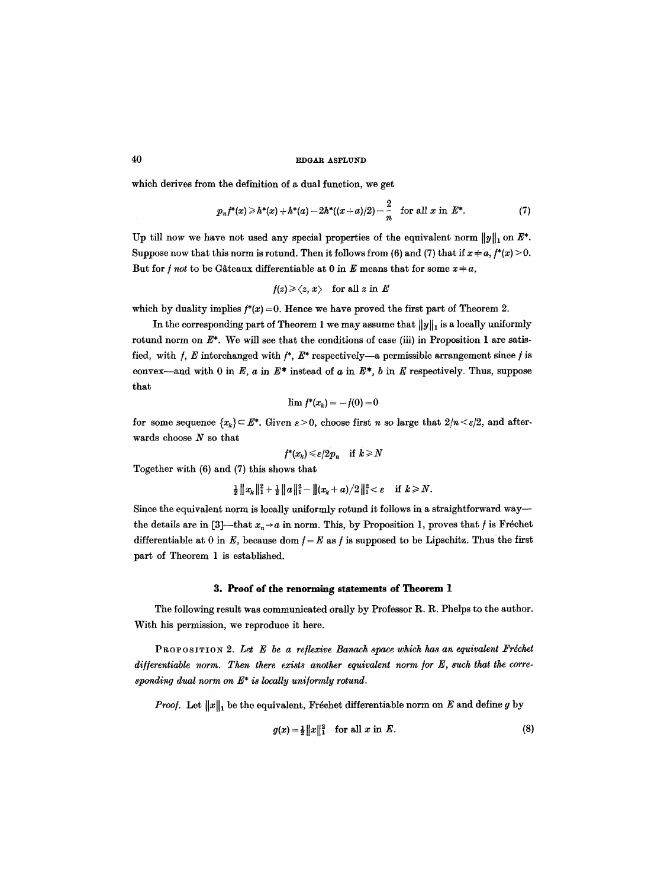which derives from the definition of a dual function, we get

$$
p_n f^*(x) \geq h^*(x) + h^*(a) - 2h^*((x+a)/2) - \frac{2}{n} \quad \text{for all } x \text{ in } E^*.
$$
 (7)

Up till now we have not used any special properties of the equivalent norm  $||y||_1$  on  $E^*$ . Suppose now that this norm is rotund. Then it follows from (6) and (7) that if  $x \neq a, f^*(x) > 0$ . But for *f not* to be Gâteaux differentiable at 0 in E means that for some  $x \neq a$ ,

$$
f(z) \geqslant \langle z, x \rangle \quad \text{for all } z \text{ in } E
$$

which by duality implies  $f^*(x) = 0$ . Hence we have proved the first part of Theorem 2.

In the corresponding part of Theorem 1 we may assume that  $||y||_1$  is a locally uniformly rotund norm on  $E^*$ . We will see that the conditions of case (iii) in Proposition 1 are satisfied, with  $f$ , E interchanged with  $f^*$ ,  $E^*$  respectively-a permissible arrangement since f is convex--and with 0 in E, a in E\* instead of a in E\*, b in E respectively. Thus, suppose that

$$
\lim f^*(x_k) = -f(0) = 0
$$

for some sequence  ${x_k} \subseteq E^*$ . Given  $\varepsilon > 0$ , choose first n so large that  $2/n < \varepsilon/2$ , and afterwards choose  $N$  so that

$$
f^*(x_k) \leqslant \varepsilon/2p_n \quad \text{if } k \geqslant N
$$

Together with (6) and (7) this shows that

$$
\frac{1}{2}||x_k||_1^2 + \frac{1}{2}||a||_1^2 - ||(x_k + a)/2||_1^2 < \varepsilon \quad \text{if } k \ge N.
$$

Since the equivalent norm is locally uniformly rotund it follows in a straightforward way- the details are in [3]—that  $x_n \rightarrow a$  in norm. This, by Proposition 1, proves that *f* is Fréchet differentiable at 0 in  $E$ , because dom  $f = E$  as f is supposed to be Lipschitz. Thus the first part of Theorem 1 is established.

#### **3. Proof of the renorming statements of Theorem 1**

The following result was communicated orally by Professor R. R. Phelps to the author. With his permission, we reproduce it here.

PROPOSITION 2. Let E be a reflexive Banach space which has an equivalent Fréchet differentiable norm. Then there exists another equivalent norm for E, such that the corre*sponding dual norm on E\* is locally uni/ormly rotund.* 

*Proof.* Let  $||x||_1$  be the equivalent, Fréchet differentiable norm on E and define g by

$$
g(x) = \frac{1}{2} \|x\|_1^2 \quad \text{for all } x \text{ in } E. \tag{8}
$$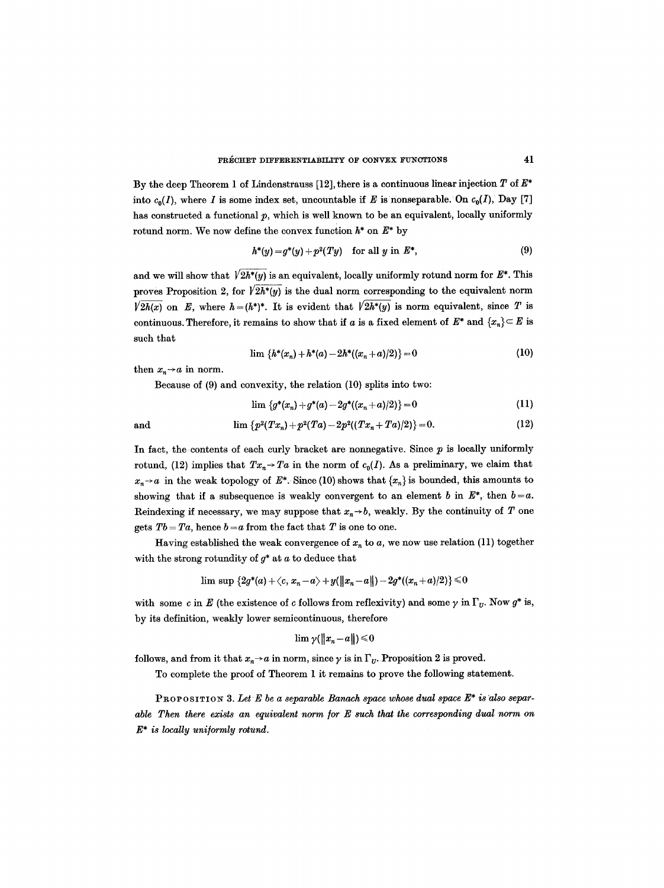By the deep Theorem 1 of Lindenstrauss [12], there is a continuous linear injection  $T$  of  $E^*$ into  $c_0(I)$ , where I is some index set, uncountable if E is nonseparable. On  $c_0(I)$ , Day [7] has constructed a functional  $p$ , which is well known to be an equivalent, locally uniformly rotund norm. We now define the convex function  $h^*$  on  $E^*$  by

$$
h^*(y) = g^*(y) + p^2(Ty) \quad \text{for all } y \text{ in } E^*,
$$
 (9)

and we will show that  $\sqrt{2h^{*}(y)}$  is an equivalent, locally uniformly rotund norm for  $E^{*}$ . This proves Proposition 2, for  $\sqrt{2h^*(y)}$  is the dual norm corresponding to the equivalent norm  $\sqrt{2h(x)}$  on E, where  $h = (h^*)^*$ . It is evident that  $\sqrt{2h^*(y)}$  is norm equivalent, since T is continuous. Therefore, it remains to show that if a is a fixed element of  $E^*$  and  $\{x_n\} \subset E$  is such that

$$
\lim \{h^*(x_n) + h^*(a) - 2h^*((x_n + a)/2)\} = 0 \tag{10}
$$

then  $x_n \rightarrow a$  in norm.

Because of (9) and convexity, the relation (10) splits into two:

$$
\lim \left\{g^*(x_n) + g^*(a) - 2g^*((x_n + a)/2)\right\} = 0 \tag{11}
$$

and 
$$
\lim \left\{ p^{2}(Tx_{n})+p^{2}(Ta)-2p^{2}((Tx_{n}+Ta)/2)\right\} = 0.
$$
 (12)

In fact, the contents of each curly bracket are nonnegative. Since  $p$  is locally uniformly rotund, (12) implies that  $Tx_n \rightarrow Ta$  in the norm of  $c_0(I)$ . As a preliminary, we claim that  $x_n \rightarrow a$  in the weak topology of  $E^*$ . Since (10) shows that  $\{x_n\}$  is bounded, this amounts to showing that if a subsequence is weakly convergent to an element b in  $E^*$ , then  $b = a$ . Reindexing if necessary, we may suppose that  $x_n \rightarrow b$ , weakly. By the continuity of T one gets  $Tb = Ta$ , hence  $b = a$  from the fact that T is one to one.

Having established the weak convergence of  $x_n$  to a, we now use relation (11) together with the strong rotundity of  $g^*$  at  $a$  to deduce that

$$
\lim \sup \, \{2 g^*(a) + \langle c, x_n - a \rangle + y(\|x_n - a\|) - 2 g^*((x_n + a)/2)\} \leq 0
$$

with some c in E (the existence of c follows from reflexivity) and some  $\gamma$  in  $\Gamma_{U}$ . Now  $g^*$  is, by its definition, weakly lower semicontinuous, therefore

$$
\lim\gamma(\|x_n\!-\!a\|)\!\leqslant\!0
$$

follows, and from it that  $x_n \rightarrow a$  in norm, since  $\gamma$  is in  $\Gamma_{\nu}$ . Proposition 2 is proved.

To complete the proof of Theorem 1 it remains to prove the following statement.

PROPOSITION 3. Let E be a separable Banach space whose dual space  $E^*$  is also separ*able Then there exists an equivalent norm for E such that the corresponding dual norm on E\* is locally uni/ormly rotund.*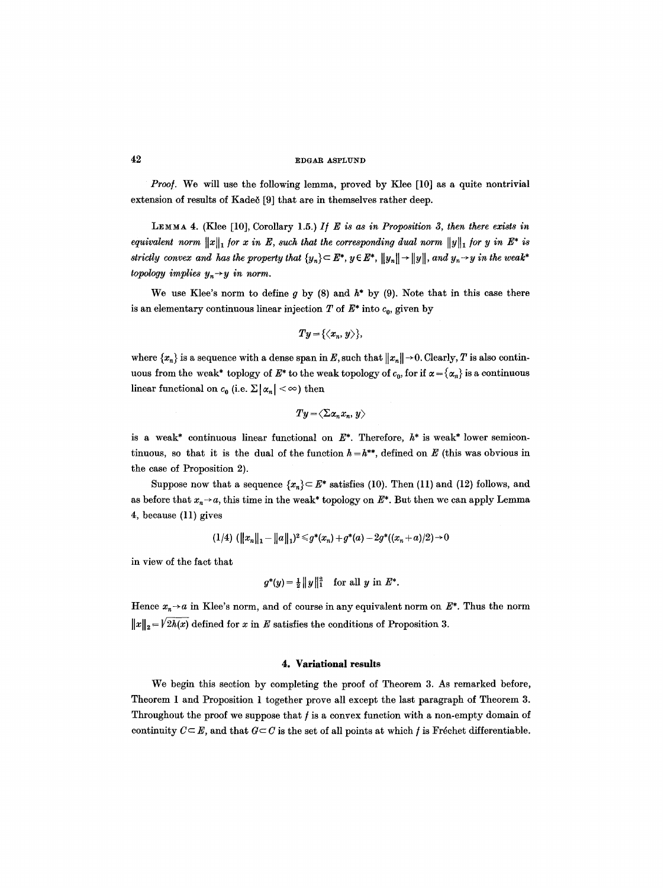*Proo/.* We will use the following lemma, proved by Klee [10] as a quite nontrivial extension of results of Kadeč [9] that are in themselves rather deep.

LEMMA 4. (Klee [10], Corollary 1.5.) *I/E is as in Proposition 3, then there exists in equivalent norm*  $||x||_1$  *for* x in E, such that the corresponding dual norm  $||y||_1$  *for* y in E<sup>\*</sup> is *strictly convex and has the property that*  $\{y_n\} \subset E^*$ ,  $y \in E^*$ ,  $||y_n|| \rightarrow ||y||$ , and  $y_n \rightarrow y$  in the weak\* *topology implies*  $y_n \rightarrow y$  *in norm.* 

We use Klee's norm to define g by (8) and  $h^*$  by (9). Note that in this case there is an elementary continuous linear injection  $T$  of  $E^*$  into  $c_0$ , given by

$$
Ty=\{\langle x_n,y\rangle\},
$$

where  $\{x_n\}$  is a sequence with a dense span in E, such that  $||x_n|| \to 0$ . Clearly, T is also continuous from the weak\* toplogy of  $E^*$  to the weak topology of  $c_0$ , for if  $\alpha = {\alpha_n}$  is a continuous linear functional on  $c_0$  (i.e.  $\Sigma | \alpha_n | < \infty$ ) then

$$
Ty\!=\!\langle\Sigma\alpha_nx_n,y\rangle
$$

is a weak\* continuous linear functional on  $E^*$ . Therefore,  $h^*$  is weak\* lower semicontinuous, so that it is the dual of the function  $h = h^{**}$ , defined on E (this was obvious in the case of Proposition 2).

Suppose now that a sequence  $\{x_n\} \subset E^*$  satisfies (10). Then (11) and (12) follows, and as before that  $x_n \rightarrow a$ , this time in the weak\* topology on  $E^*$ . But then we can apply Lemma 4, because (11) gives

$$
(1/4) \ (\|x_n\|_1 - \|a\|_1)^2 \leqslant g^*(x_n) + g^*(a) - 2g^*((x_n + a)/2) \to 0
$$

in view of the fact that

$$
g^*(y) = \frac{1}{2} ||y||_1^2
$$
 for all y in  $E^*$ .

Hence  $x_n \rightarrow a$  in Klee's norm, and of course in any equivalent norm on  $E^*$ . Thus the norm  $||x||_2 = \sqrt{2h(x)}$  defined for x in E satisfies the conditions of Proposition 3.

# **4. Variational results**

We begin this section by completing the proof of Theorem 3. As remarked before, Theorem 1 and Proposition 1 together prove all except the last paragraph of Theorem 3. Throughout the proof we suppose that  $f$  is a convex function with a non-empty domain of continuity  $C \subseteq E$ , and that  $G \subseteq C$  is the set of all points at which f is Fréchet differentiable.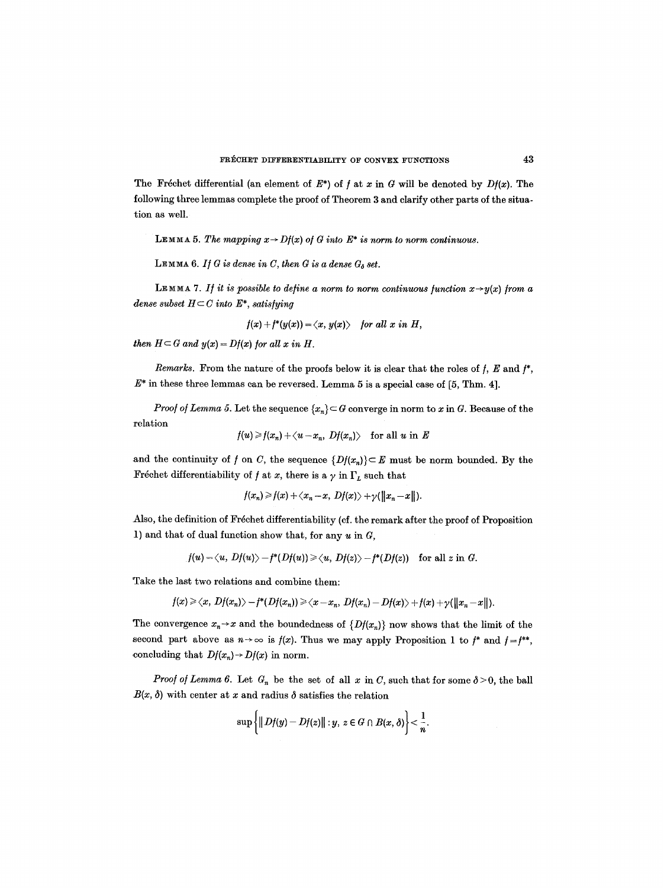The Fréchet differential (an element of  $E^*$ ) of f at x in G will be denoted by  $Df(x)$ . The following three lemmas complete the proof of Theorem 3 and clarify other parts of the situation as well.

LEMMA 5. The mapping  $x \rightarrow Df(x)$  of G into  $E^*$  is norm to norm continuous.

LEMMA 6. If G is dense in C, then G is a dense  $G_{\delta}$  set.

LEMMA 7. If it is possible to define a norm to norm continuous function  $x \rightarrow y(x)$  from a *dense subset*  $H \subset C$  *into*  $E^*$ *, satisfying* 

 $f(x) + f^{*}(y(x)) = \langle x, y(x) \rangle$  *for all x in H,* 

*then*  $H \subset G$  *and*  $y(x) = Df(x)$  *for all x in H.* 

*Remarks.* From the nature of the proofs below it is clear that the roles of  $f$ ,  $E$  and  $f^*$ ,  $E^*$  in these three lemmas can be reversed. Lemma 5 is a special case of [5, Thm. 4].

*Proof of Lemma 5.* Let the sequence  $\{x_n\} \subset G$  converge in norm to x in G. Because of the relation

$$
f(u) \geq f(x_n) + \langle u - x_n, Df(x_n) \rangle \quad \text{for all } u \text{ in } E
$$

and the continuity of f on C, the sequence  $\{Df(x_n)\}\subset E$  must be norm bounded. By the Fréchet differentiability of  $f$  at  $x$ , there is a  $\gamma$  in  $\Gamma_L$  such that

$$
f(x_n) \geq f(x) + \langle x_n - x, Df(x) \rangle + \gamma(\|x_n - x\|).
$$

Also, the definition of Fréchet differentiability (cf. the remark after the proof of Proposition 1) and that of dual function show that, for any  $u$  in  $G$ ,

$$
f(u) = \langle u, Df(u) \rangle - f^*(Df(u)) \ge \langle u, Df(z) \rangle - f^*(Df(z)) \quad \text{for all } z \text{ in } G.
$$

Take the last two relations and combine them:

$$
f(x) \geq \langle x, Df(x_n) \rangle - f^*(Df(x_n)) \geq \langle x - x_n, Df(x_n) - Df(x) \rangle + f(x) + \gamma(\|x_n - x\|).
$$

The convergence  $x_n \to x$  and the boundedness of  $\{Df(x_n)\}\$ now shows that the limit of the second part above as  $n\rightarrow\infty$  is  $f(x)$ . Thus we may apply Proposition 1 to  $f^*$  and  $f=f^{**}$ , concluding that  $Df(x_n) \to Df(x)$  in norm.

*Proof of Lemma 6.* Let  $G_n$  be the set of all x in C, such that for some  $\delta > 0$ , the ball  $B(x, \delta)$  with center at x and radius  $\delta$  satisfies the relation

$$
\sup\left\{\|Df(y)-Df(z)\|:y,\ z\in G\cap B(x,\delta)\right\}<\frac{1}{n}.
$$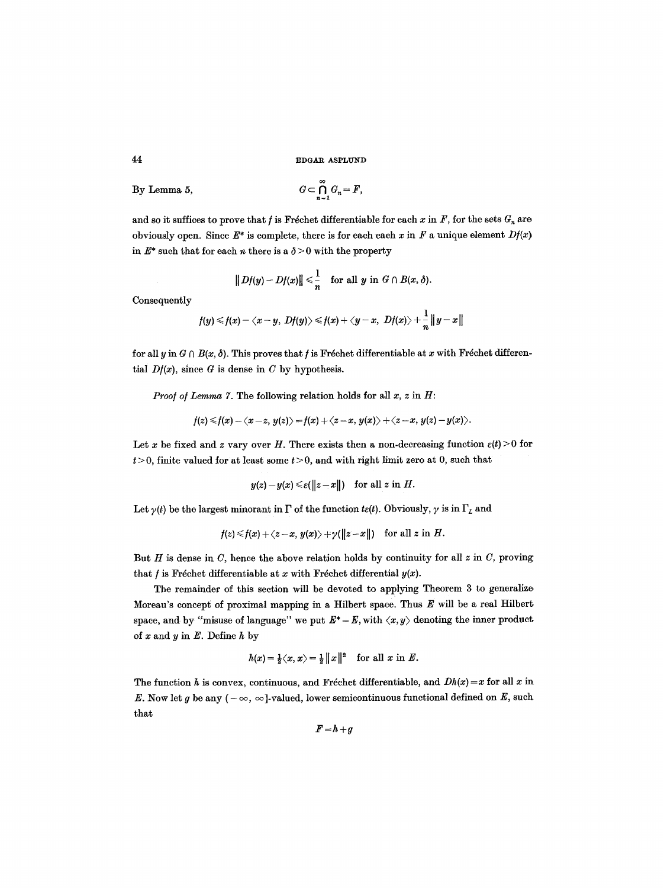By Lemma 5, 
$$
G \subset \bigcap_{n=1}^{\infty} G_n = F,
$$

and so it suffices to prove that  $f$  is Fréchet differentiable for each  $x$  in  $F$ , for the sets  $G_n$  are obviously open. Since  $E^*$  is complete, there is for each each x in F a unique element  $Df(x)$ in  $E^*$  such that for each *n* there is a  $\delta > 0$  with the property

$$
||Df(y)-Df(x)|| \leq \frac{1}{n} \text{ for all } y \text{ in } G \cap B(x,\delta).
$$

Consequently

$$
f(y) \leq f(x) - \langle x-y, Df(y) \rangle \leq f(x) + \langle y-x, Df(x) \rangle + \frac{1}{n} ||y-x||
$$

for all y in  $G \cap B(x, \delta)$ . This proves that f is Fréchet differentiable at x with Fréchet differential  $Df(x)$ , since G is dense in C by hypothesis.

*Proof of Lemma 7.* The following relation holds for all  $x$ ,  $z$  in  $H$ :

$$
f(z) \leq f(x) - \langle x-z, y(z) \rangle = f(x) + \langle z-x, y(x) \rangle + \langle z-x, y(z) - y(x) \rangle.
$$

Let x be fixed and z vary over H. There exists then a non-decreasing function  $\varepsilon(t) > 0$  for  $t > 0$ , finite valued for at least some  $t > 0$ , and with right limit zero at 0, such that

$$
y(z) - y(x) \le \varepsilon(||z - x||)
$$
 for all z in H.

Let  $\gamma(t)$  be the largest minorant in  $\Gamma$  of the function  $t\varepsilon(t)$ . Obviously,  $\gamma$  is in  $\Gamma_L$  and

$$
f(z) \leq f(x) + \langle z-x, y(x) \rangle + \gamma(||z-x||) \quad \text{for all } z \text{ in } H.
$$

But  $H$  is dense in  $C$ , hence the above relation holds by continuity for all  $z$  in  $C$ , proving that  $f$  is Fréchet differentiable at  $x$  with Fréchet differential  $y(x)$ .

The remainder of this section will be devoted to applying Theorem 3 to generalize Moreau's concept of proximal mapping in a Hilbert space. Thus  $E$  will be a real Hilbert space, and by "misuse of language" we put  $E^* = E$ , with  $\langle x, y \rangle$  denoting the inner product of x and y in  $E$ . Define h by

$$
h(x) = \frac{1}{2}\langle x, x \rangle = \frac{1}{2} ||x||^2
$$
 for all x in E.

The function h is convex, continuous, and Fréchet differentiable, and  $Dh(x)=x$  for all x in E. Now let g be any  $(-\infty, \infty]$ -valued, lower semicontinuous functional defined on E, such that

$$
F\!=\!h\!+\!g
$$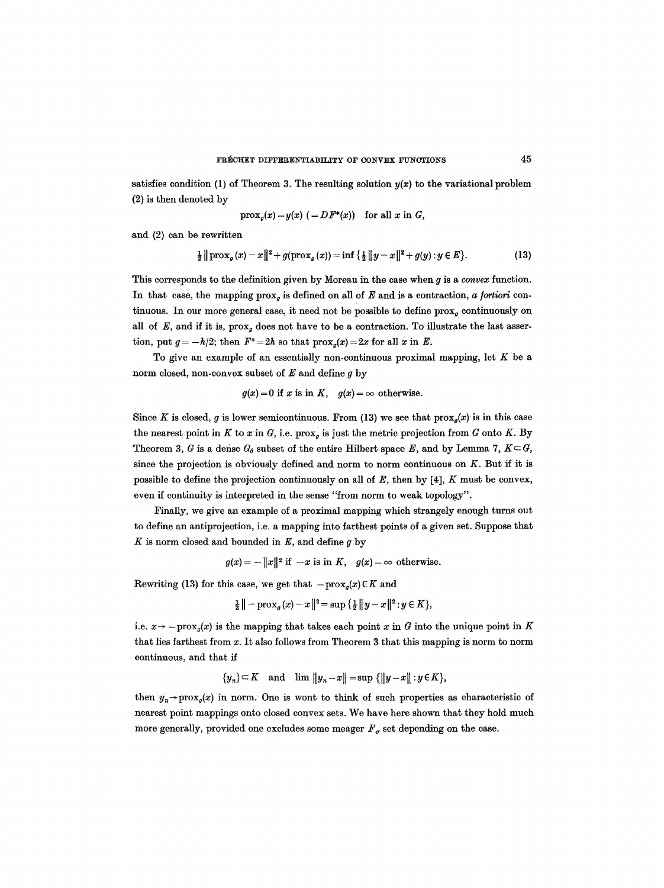satisfies condition (1) of Theorem 3. The resulting solution  $y(x)$  to the variational problem (2) is then denoted by

$$
\operatorname{prox}_{g}(x) = y(x) \quad (= DF^*(x)) \quad \text{for all } x \text{ in } G,
$$

and (2) can be rewritten

$$
\frac{1}{2} \|\text{prox}_{g}(x) - x\|^{2} + g(\text{prox}_{g}(x)) = \inf \left\{ \frac{1}{2} \|y - x\|^{2} + g(y) : y \in E \right\}.
$$
 (13)

This corresponds to the definition given by Moreau in the case when g is a *convex* function. In that case, the mapping  $prox_a$  is defined on all of  $E$  and is a contraction,  $a$  fortiori continuous. In our more general case, it need not be possible to define  $prox_{\sigma}$  continuously on all of  $E$ , and if it is,  $prox_q$  does not have to be a contraction. To illustrate the last assertion, put  $g = -h/2$ ; then  $F^* = 2h$  so that  $\text{prox}_p(x) = 2x$  for all x in E.

To give an example of an essentially non-continuous proximal mapping, let  $K$  be a norm closed, non-convex subset of  $E$  and define  $g$  by

$$
g(x) = 0
$$
 if x is in K,  $g(x) = \infty$  otherwise.

Since K is closed, g is lower semicontinuous. From (13) we see that  $prox_a(x)$  is in this case the nearest point in K to x in G, i.e.  $\text{prox}_q$  is just the metric projection from G onto K. By Theorem 3, G is a dense  $G_{\delta}$  subset of the entire Hilbert space E, and by Lemma 7,  $K \subset G$ , since the projection is obviously defined and norm to norm continuous on  $K$ . But if it is possible to define the projection continuously on all of  $E$ , then by [4],  $K$  must be convex, even if continuity is interpreted in the sense "from norm to weak topology".

Finally, we give an example of a proximal mapping which strangely enough turns out to define an antiprojection, i,e. a mapping into farthest points of a given set. Suppose that  $K$  is norm closed and bounded in  $E$ , and define  $g$  by

$$
g(x) = -||x||^2
$$
 if  $-x$  is in  $K$ ,  $g(x) = \infty$  otherwise.

Rewriting (13) for this case, we get that  $-\text{prox}_{q}(x) \in K$  and

$$
\frac{1}{2} \|- \operatorname{prox}_{g}(x) - x \|^2 = \sup \{ \frac{1}{2} \|y - x\|^2 : y \in K \},\
$$

i.e.  $x \rightarrow -\text{prox}_g(x)$  is the mapping that takes each point x in G into the unique point in K that lies farthest from  $x$ . It also follows from Theorem 3 that this mapping is norm to norm continuous, and that if

 $\{y_n\} \subset K$  and  $\lim \|y_n-x\| = \sup \{\|y-x\| : y \in K\},\$ 

then  $y_n \rightarrow \text{prox}_q(x)$  in norm. One is wont to think of such properties as characteristic of nearest point mappings onto closed convex sets. We have here shown that they hold much more generally, provided one excludes some meager  $F_{\sigma}$  set depending on the case.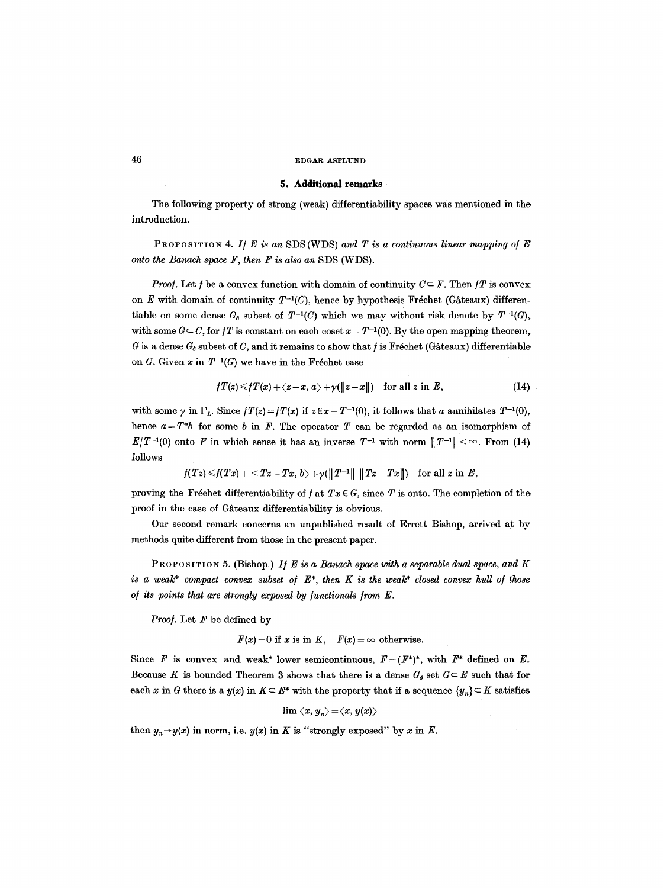# **5. Additional remarks**

The following property of strong (weak) differentiability spaces was mentioned in the introduction.

PROFOSITION 4. If E is an SDS (WDS) and T is a continuous linear mapping of E *onto the Banach space F, then F is also an* SDS (WDS).

*Proof.* Let f be a convex function with domain of continuity  $C \subseteq F$ . Then fT is convex on E with domain of continuity  $T^{-1}(C)$ , hence by hypothesis Fréchet (Gâteaux) differentiable on some dense  $G_{\delta}$  subset of  $T^{-1}(C)$  which we may without risk denote by  $T^{-1}(G)$ , with some  $G \subset C$ , for  $fT$  is constant on each coset  $x + T^{-1}(0)$ . By the open mapping theorem, G is a dense  $G_0$  subset of C, and it remains to show that f is Fréchet (Gâteaux) differentiable on G. Given x in  $T^{-1}(G)$  we have in the Fréchet case

$$
fT(z) \leq fT(x) + \langle z-x, a \rangle + \gamma(||z-x||) \quad \text{for all } z \text{ in } E,
$$
 (14)

with some  $\gamma$  in  $\Gamma_L$ . Since  $f(T(z) = f(T(x))$  if  $z \in x + T^{-1}(0)$ , it follows that a annihilates  $T^{-1}(0)$ , hence  $a = T^*b$  for some b in F. The operator T can be regarded as an isomorphism of  $E/T^{-1}(0)$  onto F in which sense it has an inverse  $T^{-1}$  with norm  $||T^{-1}|| < \infty$ . From (14) follows

$$
f(Tz) \leq f(Tx) + \langle Tz - Tx, b \rangle + \gamma (\|T^{-1}\| \|Tz - Tx\|)
$$
 for all z in E,

proving the Fréchet differentiability of  $f$  at  $Tx \in G$ , since T is onto. The completion of the proof in the case of Gâteaux differentiability is obvious.

Our second remark concerns an unpublished result of Errett Bishop, arrived at by methods quite different from those in the present paper.

PROPOSITION 5. (Bishop.) *I/E is a Banach space with a separable dual space, and K is a weak\* compact convex subset of*  $E^*$ , *then* K *is the weak\* closed convex hull of those of its points that are strongly exposed by functionals from E.* 

*Proo].* Let F be defined by

$$
F(x) = 0
$$
 if x is in K,  $F(x) = \infty$  otherwise.

Since F is convex and weak\* lower semicontinuous,  $F = (F^*)^*$ , with  $F^*$  defined on E. Because K is bounded Theorem 3 shows that there is a dense  $G_{\delta}$  set  $G \subseteq E$  such that for each x in G there is a  $y(x)$  in  $K \subseteq E^*$  with the property that if a sequence  $\{y_n\} \subseteq K$  satisfies

$$
\lim \langle x, y_n \rangle \!=\! \langle x, y(x) \rangle
$$

then  $y_n \rightarrow y(x)$  in norm, i.e.  $y(x)$  in K is "strongly exposed" by x in E.